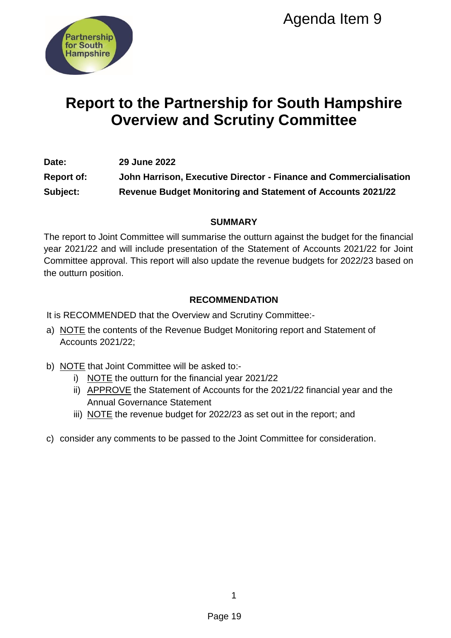

## **Report to the Partnership for South Hampshire Overview and Scrutiny Committee**

**Date: 29 June 2022 Report of: John Harrison, Executive Director - Finance and Commercialisation Subject: Revenue Budget Monitoring and Statement of Accounts 2021/22**

## **SUMMARY**

The report to Joint Committee will summarise the outturn against the budget for the financial year 2021/22 and will include presentation of the Statement of Accounts 2021/22 for Joint Committee approval. This report will also update the revenue budgets for 2022/23 based on the outturn position. Agenda Item 9<br>
Pagenda Item 9<br>
Pagenda Item Scrutiny Committee<br>
utive Director - Finance and Commercial<br>
nitoring and Statement of Accounts 2021<br>
SUMMARY<br>
end the outurn against the budget for the 1<br>
content of the Stateme

## **RECOMMENDATION**

It is RECOMMENDED that the Overview and Scrutiny Committee:-

- a) NOTE the contents of the Revenue Budget Monitoring report and Statement of Accounts 2021/22;
- b) NOTE that Joint Committee will be asked to:
	- i) NOTE the outturn for the financial year 2021/22
	- ii) APPROVE the Statement of Accounts for the 2021/22 financial year and the Annual Governance Statement
	- iii) NOTE the revenue budget for 2022/23 as set out in the report; and
- c) consider any comments to be passed to the Joint Committee for consideration.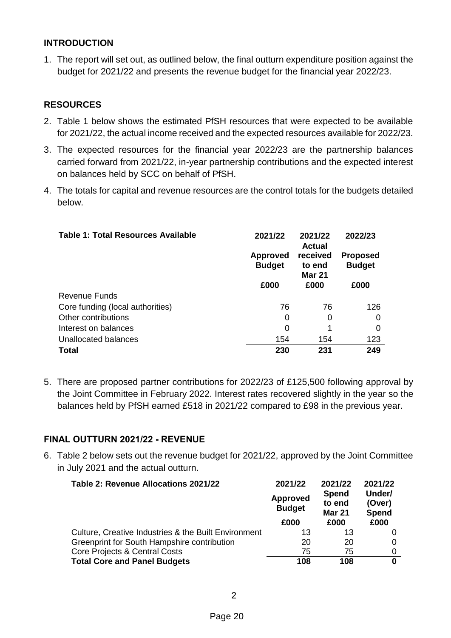## **INTRODUCTION**

1. The report will set out, as outlined below, the final outturn expenditure position against the budget for 2021/22 and presents the revenue budget for the financial year 2022/23.

## **RESOURCES**

- 2. Table 1 below shows the estimated PfSH resources that were expected to be available for 2021/22, the actual income received and the expected resources available for 2022/23.
- 3. The expected resources for the financial year 2022/23 are the partnership balances carried forward from 2021/22, in-year partnership contributions and the expected interest on balances held by SCC on behalf of PfSH.
- 4. The totals for capital and revenue resources are the control totals for the budgets detailed below.

| Table 1: Total Resources Available | 2021/22                          | 2021/22<br><b>Actual</b>            | 2022/23                          |
|------------------------------------|----------------------------------|-------------------------------------|----------------------------------|
|                                    | <b>Approved</b><br><b>Budget</b> | received<br>to end<br><b>Mar 21</b> | <b>Proposed</b><br><b>Budget</b> |
|                                    | £000                             | £000                                | £000                             |
| <b>Revenue Funds</b>               |                                  |                                     |                                  |
| Core funding (local authorities)   | 76                               | 76                                  | 126                              |
| Other contributions                | 0                                | 0                                   | 0                                |
| Interest on balances               | 0                                | 1                                   | 0                                |
| <b>Unallocated balances</b>        | 154                              | 154                                 | 123                              |
| <b>Total</b>                       | 230                              | 231                                 | 249                              |

5. There are proposed partner contributions for 2022/23 of £125,500 following approval by the Joint Committee in February 2022. Interest rates recovered slightly in the year so the balances held by PfSH earned £518 in 2021/22 compared to £98 in the previous year.

## **FINAL OUTTURN 2021/22 - REVENUE**

6. Table 2 below sets out the revenue budget for 2021/22, approved by the Joint Committee in July 2021 and the actual outturn.

| Table 2: Revenue Allocations 2021/22                 | 2021/22<br><b>Approved</b><br><b>Budget</b> | 2021/22<br><b>Spend</b><br>to end<br><b>Mar 21</b> | 2021/22<br>Under/<br>(Over)<br>Spend |
|------------------------------------------------------|---------------------------------------------|----------------------------------------------------|--------------------------------------|
|                                                      | £000                                        | £000                                               | £000                                 |
| Culture, Creative Industries & the Built Environment | 13                                          | 13                                                 |                                      |
| Greenprint for South Hampshire contribution          | 20                                          | 20                                                 |                                      |
| Core Projects & Central Costs                        | 75                                          | 75                                                 |                                      |
| <b>Total Core and Panel Budgets</b>                  | 108                                         | 108                                                | 0                                    |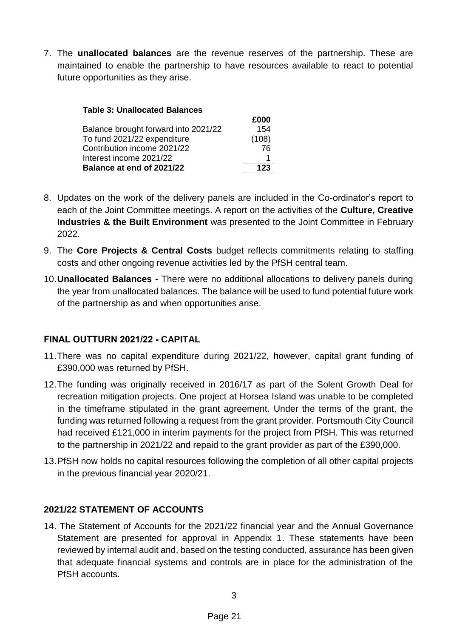7. The **unallocated balances** are the revenue reserves of the partnership. These are maintained to enable the partnership to have resources available to react to potential future opportunities as they arise.

| <b>Table 3: Unallocated Balances</b> |       |
|--------------------------------------|-------|
|                                      | £000  |
| Balance brought forward into 2021/22 | 154   |
| To fund 2021/22 expenditure          | (108) |
| Contribution income 2021/22          | 76    |
| Interest income 2021/22              |       |
| Balance at end of 2021/22            | 123   |

- 8. Updates on the work of the delivery panels are included in the Co-ordinator's report to each of the Joint Committee meetings. A report on the activities of the **Culture, Creative Industries & the Built Environment** was presented to the Joint Committee in February 2022.
- 9. The **Core Projects & Central Costs** budget reflects commitments relating to staffing costs and other ongoing revenue activities led by the PfSH central team.
- 10.**Unallocated Balances -** There were no additional allocations to delivery panels during the year from unallocated balances. The balance will be used to fund potential future work of the partnership as and when opportunities arise.

## **FINAL OUTTURN 2021/22 - CAPITAL**

- 11.There was no capital expenditure during 2021/22, however, capital grant funding of £390,000 was returned by PfSH.
- 12.The funding was originally received in 2016/17 as part of the Solent Growth Deal for recreation mitigation projects. One project at Horsea Island was unable to be completed in the timeframe stipulated in the grant agreement. Under the terms of the grant, the funding was returned following a request from the grant provider. Portsmouth City Council had received £121,000 in interim payments for the project from PfSH. This was returned to the partnership in 2021/22 and repaid to the grant provider as part of the £390,000.
- 13.PfSH now holds no capital resources following the completion of all other capital projects in the previous financial year 2020/21.

## **2021/22 STATEMENT OF ACCOUNTS**

14. The Statement of Accounts for the 2021/22 financial year and the Annual Governance Statement are presented for approval in Appendix 1. These statements have been reviewed by internal audit and, based on the testing conducted, assurance has been given that adequate financial systems and controls are in place for the administration of the PfSH accounts.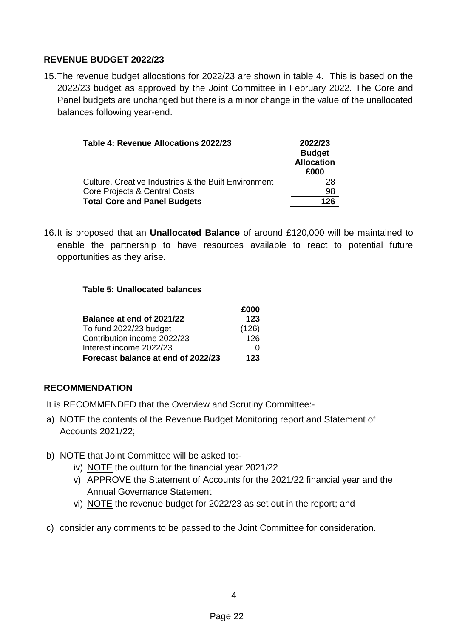## **REVENUE BUDGET 2022/23**

15.The revenue budget allocations for 2022/23 are shown in table 4. This is based on the 2022/23 budget as approved by the Joint Committee in February 2022. The Core and Panel budgets are unchanged but there is a minor change in the value of the unallocated balances following year-end.

| Table 4: Revenue Allocations 2022/23                 | 2022/23<br><b>Budget</b><br><b>Allocation</b><br>£000 |
|------------------------------------------------------|-------------------------------------------------------|
| Culture, Creative Industries & the Built Environment | 28                                                    |
| Core Projects & Central Costs                        | 98                                                    |
| <b>Total Core and Panel Budgets</b>                  | 126                                                   |

16.It is proposed that an **Unallocated Balance** of around £120,000 will be maintained to enable the partnership to have resources available to react to potential future opportunities as they arise.

## **Table 5: Unallocated balances**

|                                    | £000  |
|------------------------------------|-------|
| Balance at end of 2021/22          | 123   |
| To fund 2022/23 budget             | (126) |
| Contribution income 2022/23        | 126   |
| Interest income 2022/23            | O     |
| Forecast balance at end of 2022/23 | 123   |

## **RECOMMENDATION**

It is RECOMMENDED that the Overview and Scrutiny Committee:-

- a) NOTE the contents of the Revenue Budget Monitoring report and Statement of Accounts 2021/22;
- b) NOTE that Joint Committee will be asked to:
	- iv) NOTE the outturn for the financial year 2021/22
	- v) APPROVE the Statement of Accounts for the 2021/22 financial year and the Annual Governance Statement
	- vi) NOTE the revenue budget for 2022/23 as set out in the report; and
- c) consider any comments to be passed to the Joint Committee for consideration.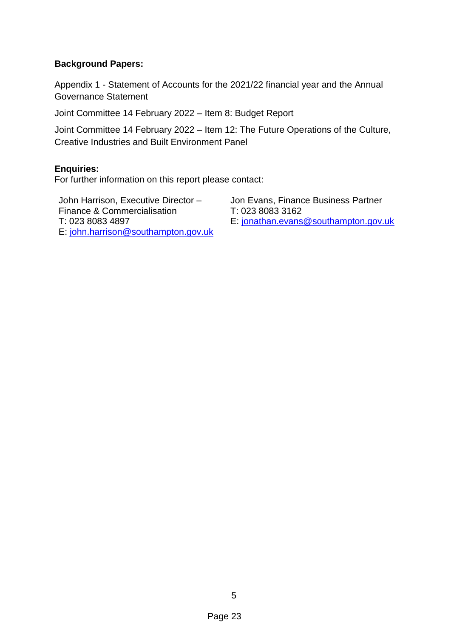## **Background Papers:**

Appendix 1 - Statement of Accounts for the 2021/22 financial year and the Annual Governance Statement

Joint Committee 14 February 2022 – Item 8: Budget Report

Joint Committee 14 February 2022 – Item 12: The Future Operations of the Culture, Creative Industries and Built Environment Panel

## **Enquiries:**

For further information on this report please contact:

John Harrison, Executive Director – Finance & Commercialisation T: 023 8083 4897 E: [john.harrison@southampton.gov.uk](mailto:john.harrison@southampton.gov.uk) Jon Evans, Finance Business Partner T: 023 8083 3162 E: [jonathan.evans@southampton.gov.uk](mailto:jonathan.evans@southampton.gov.uk)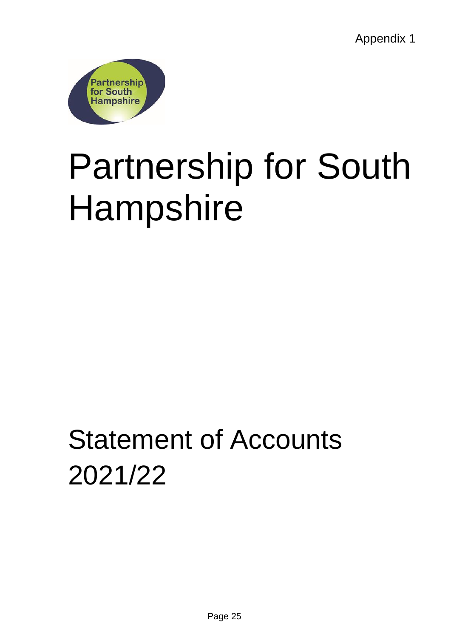Appendix 1



# Partnership for South Hampshire

## Statement of Accounts 2021/22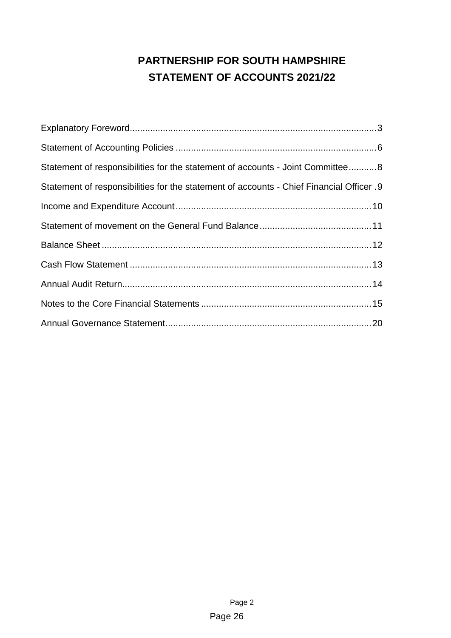## **PARTNERSHIP FOR SOUTH HAMPSHIRE STATEMENT OF ACCOUNTS 2021/22**

| Statement of responsibilities for the statement of accounts - Joint Committee8           |
|------------------------------------------------------------------------------------------|
| Statement of responsibilities for the statement of accounts - Chief Financial Officer. 9 |
|                                                                                          |
|                                                                                          |
|                                                                                          |
|                                                                                          |
|                                                                                          |
|                                                                                          |
|                                                                                          |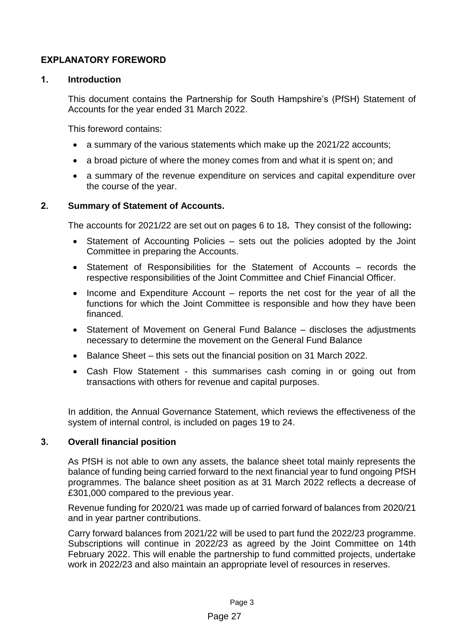## <span id="page-8-0"></span>**EXPLANATORY FOREWORD**

## **1. Introduction**

This document contains the Partnership for South Hampshire's (PfSH) Statement of Accounts for the year ended 31 March 2022.

This foreword contains:

- a summary of the various statements which make up the 2021/22 accounts;
- a broad picture of where the money comes from and what it is spent on; and
- a summary of the revenue expenditure on services and capital expenditure over the course of the year.

## **2. Summary of Statement of Accounts.**

The accounts for 2021/22 are set out on pages 6 to 18**.** They consist of the following**:**

- Statement of Accounting Policies sets out the policies adopted by the Joint Committee in preparing the Accounts.
- Statement of Responsibilities for the Statement of Accounts records the respective responsibilities of the Joint Committee and Chief Financial Officer.
- Income and Expenditure Account reports the net cost for the year of all the functions for which the Joint Committee is responsible and how they have been financed.
- Statement of Movement on General Fund Balance discloses the adjustments necessary to determine the movement on the General Fund Balance
- Balance Sheet this sets out the financial position on 31 March 2022.
- Cash Flow Statement this summarises cash coming in or going out from transactions with others for revenue and capital purposes.

In addition, the Annual Governance Statement, which reviews the effectiveness of the system of internal control, is included on pages 19 to 24.

## **3. Overall financial position**

As PfSH is not able to own any assets, the balance sheet total mainly represents the balance of funding being carried forward to the next financial year to fund ongoing PfSH programmes. The balance sheet position as at 31 March 2022 reflects a decrease of £301,000 compared to the previous year.

Revenue funding for 2020/21 was made up of carried forward of balances from 2020/21 and in year partner contributions.

Carry forward balances from 2021/22 will be used to part fund the 2022/23 programme. Subscriptions will continue in 2022/23 as agreed by the Joint Committee on 14th February 2022. This will enable the partnership to fund committed projects, undertake work in 2022/23 and also maintain an appropriate level of resources in reserves.

## Page 27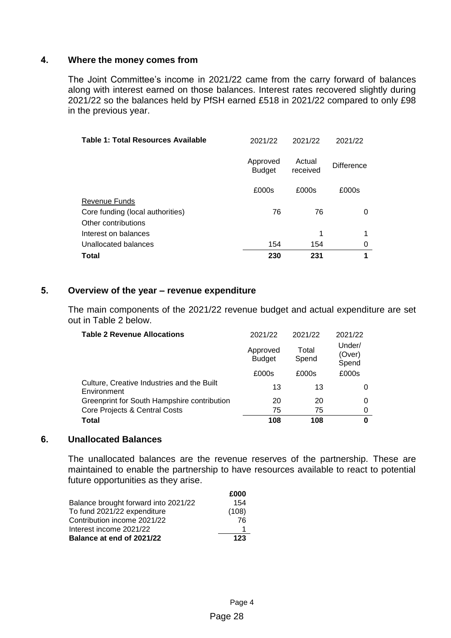## **4. Where the money comes from**

The Joint Committee's income in 2021/22 came from the carry forward of balances along with interest earned on those balances. Interest rates recovered slightly during 2021/22 so the balances held by PfSH earned £518 in 2021/22 compared to only £98 in the previous year.

| Table 1: Total Resources Available | 2021/22                   | 2021/22            | 2021/22           |
|------------------------------------|---------------------------|--------------------|-------------------|
|                                    | Approved<br><b>Budget</b> | Actual<br>received | <b>Difference</b> |
|                                    | £000s                     | £000s              | £000s             |
| <b>Revenue Funds</b>               |                           |                    |                   |
| Core funding (local authorities)   | 76                        | 76                 | 0                 |
| Other contributions                |                           |                    |                   |
| Interest on balances               |                           | 1                  |                   |
| Unallocated balances               | 154                       | 154                | 0                 |
| Total                              | 230                       | 231                | 1                 |

## **5. Overview of the year – revenue expenditure**

The main components of the 2021/22 revenue budget and actual expenditure are set out in Table 2 below.

| <b>Table 2 Revenue Allocations</b>                        | 2021/22                   | 2021/22        | 2021/22                   |
|-----------------------------------------------------------|---------------------------|----------------|---------------------------|
|                                                           | Approved<br><b>Budget</b> | Total<br>Spend | Under/<br>(Over)<br>Spend |
|                                                           | £000s                     | £000s          | £000s                     |
| Culture, Creative Industries and the Built<br>Environment | 13                        | 13             |                           |
| Greenprint for South Hampshire contribution               | 20                        | 20             | 0                         |
| Core Projects & Central Costs                             | 75                        | 75             | 0                         |
| Total                                                     | 108                       | 108            | 0                         |

## **6. Unallocated Balances**

The unallocated balances are the revenue reserves of the partnership. These are maintained to enable the partnership to have resources available to react to potential future opportunities as they arise.

|                                      | £000  |
|--------------------------------------|-------|
| Balance brought forward into 2021/22 | 154   |
| To fund 2021/22 expenditure          | (108) |
| Contribution income 2021/22          | 76    |
| Interest income 2021/22              |       |
| Balance at end of 2021/22            | 123   |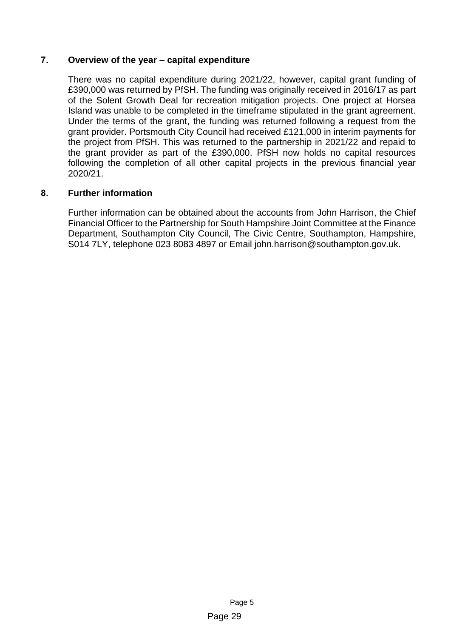## **7. Overview of the year – capital expenditure**

There was no capital expenditure during 2021/22, however, capital grant funding of £390,000 was returned by PfSH. The funding was originally received in 2016/17 as part of the Solent Growth Deal for recreation mitigation projects. One project at Horsea Island was unable to be completed in the timeframe stipulated in the grant agreement. Under the terms of the grant, the funding was returned following a request from the grant provider. Portsmouth City Council had received £121,000 in interim payments for the project from PfSH. This was returned to the partnership in 2021/22 and repaid to the grant provider as part of the £390,000. PfSH now holds no capital resources following the completion of all other capital projects in the previous financial year 2020/21.

## **8. Further information**

Further information can be obtained about the accounts from John Harrison, the Chief Financial Officer to the Partnership for South Hampshire Joint Committee at the Finance Department, Southampton City Council, The Civic Centre, Southampton, Hampshire, S014 7LY, telephone 023 8083 4897 or Email john.harrison@southampton.gov.uk.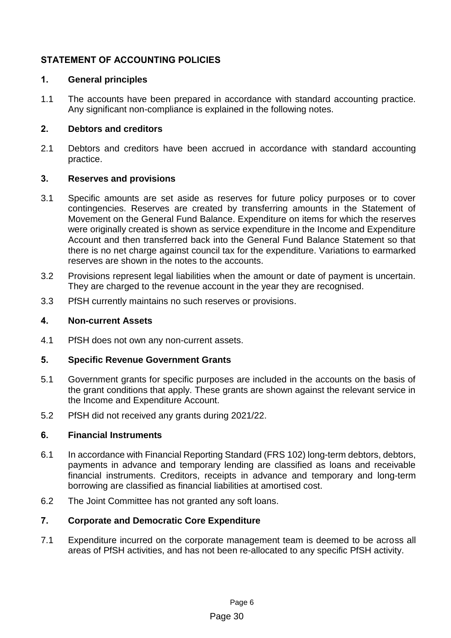## <span id="page-11-0"></span>**STATEMENT OF ACCOUNTING POLICIES**

## **1. General principles**

1.1 The accounts have been prepared in accordance with standard accounting practice. Any significant non-compliance is explained in the following notes.

## **2. Debtors and creditors**

2.1 Debtors and creditors have been accrued in accordance with standard accounting practice.

## **3. Reserves and provisions**

- 3.1 Specific amounts are set aside as reserves for future policy purposes or to cover contingencies. Reserves are created by transferring amounts in the Statement of Movement on the General Fund Balance. Expenditure on items for which the reserves were originally created is shown as service expenditure in the Income and Expenditure Account and then transferred back into the General Fund Balance Statement so that there is no net charge against council tax for the expenditure. Variations to earmarked reserves are shown in the notes to the accounts.
- 3.2 Provisions represent legal liabilities when the amount or date of payment is uncertain. They are charged to the revenue account in the year they are recognised.
- 3.3 PfSH currently maintains no such reserves or provisions.

## **4. Non-current Assets**

4.1 PfSH does not own any non-current assets.

## **5. Specific Revenue Government Grants**

- 5.1 Government grants for specific purposes are included in the accounts on the basis of the grant conditions that apply. These grants are shown against the relevant service in the Income and Expenditure Account.
- 5.2 PfSH did not received any grants during 2021/22.

## **6. Financial Instruments**

- 6.1 In accordance with Financial Reporting Standard (FRS 102) long-term debtors, debtors, payments in advance and temporary lending are classified as loans and receivable financial instruments. Creditors, receipts in advance and temporary and long-term borrowing are classified as financial liabilities at amortised cost.
- 6.2 The Joint Committee has not granted any soft loans.

## **7. Corporate and Democratic Core Expenditure**

7.1 Expenditure incurred on the corporate management team is deemed to be across all areas of PfSH activities, and has not been re-allocated to any specific PfSH activity.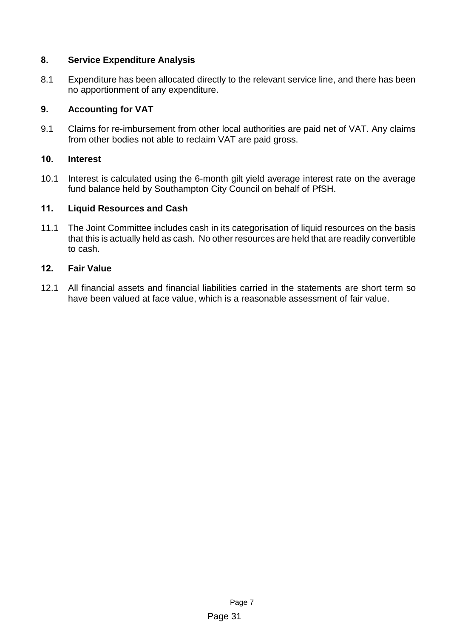## **8. Service Expenditure Analysis**

8.1 Expenditure has been allocated directly to the relevant service line, and there has been no apportionment of any expenditure.

## **9. Accounting for VAT**

9.1 Claims for re-imbursement from other local authorities are paid net of VAT. Any claims from other bodies not able to reclaim VAT are paid gross.

## **10. Interest**

10.1 Interest is calculated using the 6-month gilt yield average interest rate on the average fund balance held by Southampton City Council on behalf of PfSH.

## **11. Liquid Resources and Cash**

11.1 The Joint Committee includes cash in its categorisation of liquid resources on the basis that this is actually held as cash. No other resources are held that are readily convertible to cash.

## **12. Fair Value**

12.1 All financial assets and financial liabilities carried in the statements are short term so have been valued at face value, which is a reasonable assessment of fair value.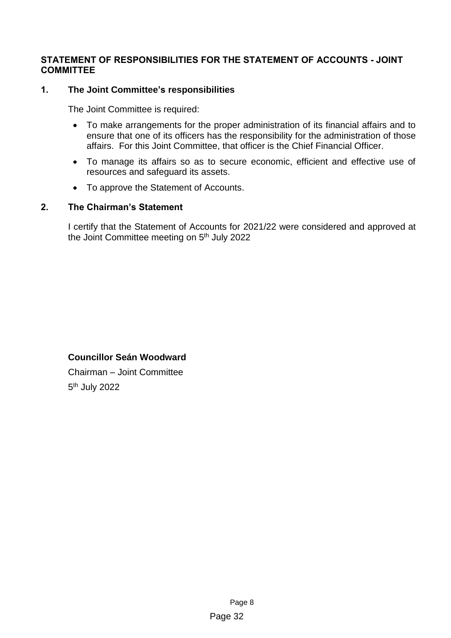## <span id="page-13-0"></span>**STATEMENT OF RESPONSIBILITIES FOR THE STATEMENT OF ACCOUNTS - JOINT COMMITTEE**

## **1. The Joint Committee's responsibilities**

The Joint Committee is required:

- To make arrangements for the proper administration of its financial affairs and to ensure that one of its officers has the responsibility for the administration of those affairs. For this Joint Committee, that officer is the Chief Financial Officer.
- To manage its affairs so as to secure economic, efficient and effective use of resources and safeguard its assets.
- To approve the Statement of Accounts.

## **2. The Chairman's Statement**

I certify that the Statement of Accounts for 2021/22 were considered and approved at the Joint Committee meeting on 5<sup>th</sup> July 2022

## **Councillor Seán Woodward**

Chairman – Joint Committee 5<sup>th</sup> July 2022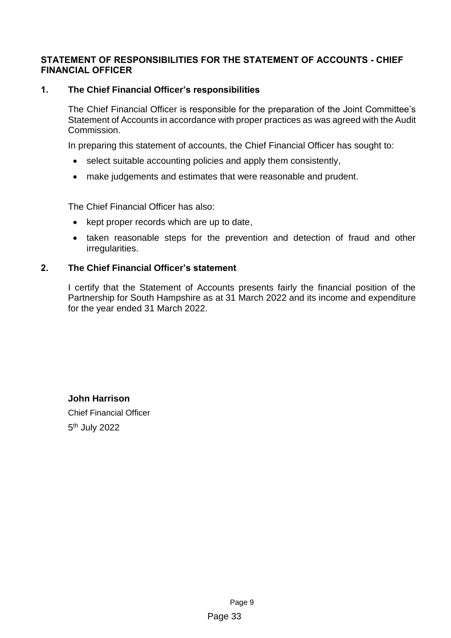## <span id="page-14-0"></span>**STATEMENT OF RESPONSIBILITIES FOR THE STATEMENT OF ACCOUNTS - CHIEF FINANCIAL OFFICER**

## **1. The Chief Financial Officer's responsibilities**

The Chief Financial Officer is responsible for the preparation of the Joint Committee's Statement of Accounts in accordance with proper practices as was agreed with the Audit Commission.

In preparing this statement of accounts, the Chief Financial Officer has sought to:

- select suitable accounting policies and apply them consistently,
- make judgements and estimates that were reasonable and prudent.

The Chief Financial Officer has also:

- kept proper records which are up to date,
- taken reasonable steps for the prevention and detection of fraud and other irregularities.

## **2. The Chief Financial Officer's statement**

I certify that the Statement of Accounts presents fairly the financial position of the Partnership for South Hampshire as at 31 March 2022 and its income and expenditure for the year ended 31 March 2022.

**John Harrison** Chief Financial Officer 5<sup>th</sup> July 2022

> Page 9 Page 33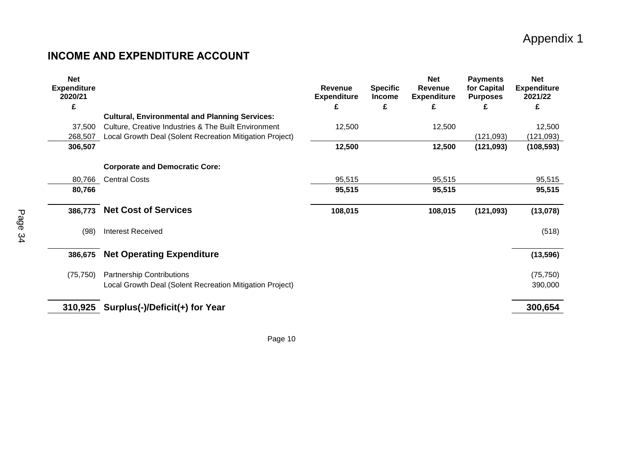## Appendix 1

## **INCOME AND EXPENDITURE ACCOUNT**

<span id="page-15-0"></span>

| <b>Net</b><br><b>Expenditure</b><br>2020/21 |                                                          | <b>Revenue</b><br><b>Expenditure</b> | <b>Specific</b><br><b>Income</b> | <b>Net</b><br><b>Revenue</b><br><b>Expenditure</b> | <b>Payments</b><br>for Capital<br><b>Purposes</b> | <b>Net</b><br><b>Expenditure</b><br>2021/22 |
|---------------------------------------------|----------------------------------------------------------|--------------------------------------|----------------------------------|----------------------------------------------------|---------------------------------------------------|---------------------------------------------|
| £                                           |                                                          | £                                    | £                                | £                                                  | £                                                 | £                                           |
|                                             | <b>Cultural, Environmental and Planning Services:</b>    |                                      |                                  |                                                    |                                                   |                                             |
| 37,500                                      | Culture, Creative Industries & The Built Environment     | 12,500                               |                                  | 12,500                                             |                                                   | 12,500                                      |
| 268,507                                     | Local Growth Deal (Solent Recreation Mitigation Project) |                                      |                                  |                                                    | (121, 093)                                        | (121, 093)                                  |
| 306,507                                     |                                                          | 12,500                               |                                  | 12,500                                             | (121, 093)                                        | (108, 593)                                  |
|                                             |                                                          |                                      |                                  |                                                    |                                                   |                                             |
|                                             | <b>Corporate and Democratic Core:</b>                    |                                      |                                  |                                                    |                                                   |                                             |
| 80,766                                      | <b>Central Costs</b>                                     | 95,515                               |                                  | 95,515                                             |                                                   | 95,515                                      |
| 80,766                                      |                                                          | 95,515                               |                                  | 95,515                                             |                                                   | 95,515                                      |
|                                             |                                                          |                                      |                                  |                                                    |                                                   |                                             |
| 386,773                                     | <b>Net Cost of Services</b>                              | 108,015                              |                                  | 108,015                                            | (121, 093)                                        | (13,078)                                    |
|                                             |                                                          |                                      |                                  |                                                    |                                                   |                                             |
| (98)                                        | <b>Interest Received</b>                                 |                                      |                                  |                                                    |                                                   | (518)                                       |
|                                             |                                                          |                                      |                                  |                                                    |                                                   |                                             |
| 386,675                                     | <b>Net Operating Expenditure</b>                         |                                      |                                  |                                                    |                                                   | (13, 596)                                   |
| (75, 750)                                   | <b>Partnership Contributions</b>                         |                                      |                                  |                                                    |                                                   | (75, 750)                                   |
|                                             | Local Growth Deal (Solent Recreation Mitigation Project) |                                      |                                  |                                                    |                                                   | 390,000                                     |
|                                             |                                                          |                                      |                                  |                                                    |                                                   |                                             |
| 310,925                                     | Surplus(-)/Deficit(+) for Year                           |                                      |                                  |                                                    |                                                   | 300,654                                     |
|                                             |                                                          |                                      |                                  |                                                    |                                                   |                                             |

Page 10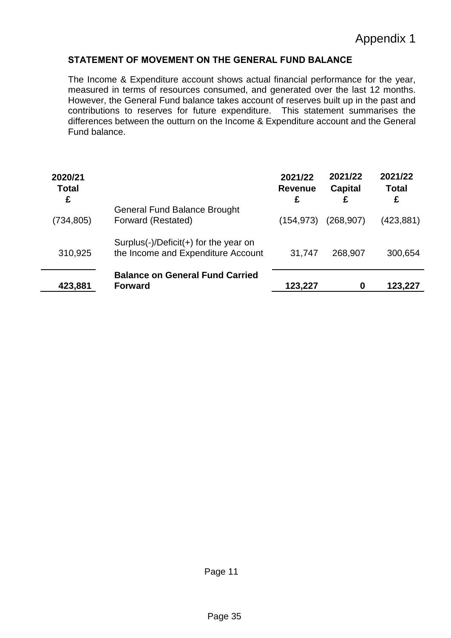## <span id="page-16-0"></span>**STATEMENT OF MOVEMENT ON THE GENERAL FUND BALANCE**

The Income & Expenditure account shows actual financial performance for the year, measured in terms of resources consumed, and generated over the last 12 months. However, the General Fund balance takes account of reserves built up in the past and contributions to reserves for future expenditure. This statement summarises the differences between the outturn on the Income & Expenditure account and the General Fund balance.

| 2020/21<br><b>Total</b><br>£ |                                                                             | 2021/22<br><b>Revenue</b><br>£ | 2021/22<br><b>Capital</b><br>£ | 2021/22<br><b>Total</b><br>£ |
|------------------------------|-----------------------------------------------------------------------------|--------------------------------|--------------------------------|------------------------------|
| (734, 805)                   | <b>General Fund Balance Brought</b><br>Forward (Restated)                   | (154,973)                      | (268, 907)                     | (423,881)                    |
| 310,925                      | Surplus(-)/Deficit(+) for the year on<br>the Income and Expenditure Account | 31,747                         | 268,907                        | 300,654                      |
| 423,881                      | <b>Balance on General Fund Carried</b><br><b>Forward</b>                    | 123,227                        | 0                              | 123,227                      |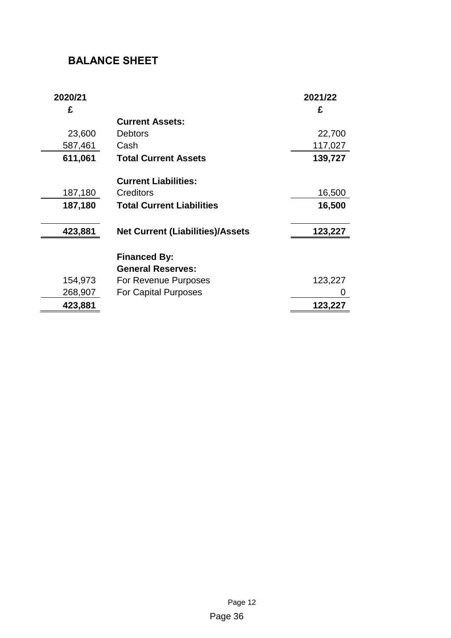## <span id="page-17-0"></span>**BALANCE SHEET**

<span id="page-17-1"></span>

| 2020/21<br>£ |                                         | 2021/22<br>£ |
|--------------|-----------------------------------------|--------------|
|              | <b>Current Assets:</b>                  |              |
| 23,600       | <b>Debtors</b>                          | 22,700       |
| 587,461      | Cash                                    | 117,027      |
| 611,061      | <b>Total Current Assets</b>             | 139,727      |
|              | <b>Current Liabilities:</b>             |              |
| 187,180      | Creditors                               | 16,500       |
| 187,180      | <b>Total Current Liabilities</b>        | 16,500       |
| 423,881      | <b>Net Current (Liabilities)/Assets</b> | 123,227      |
|              | <b>Financed By:</b>                     |              |
|              | <b>General Reserves:</b>                |              |
| 154,973      | For Revenue Purposes                    | 123,227      |
| 268,907      | <b>For Capital Purposes</b>             |              |
| 423,881      |                                         | 123,227      |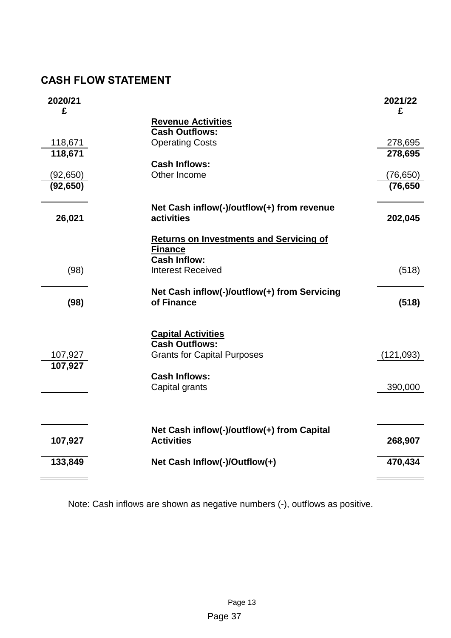## **CASH FLOW STATEMENT**

| 2020/21<br>£       |                                                            | 2021/22<br>£       |
|--------------------|------------------------------------------------------------|--------------------|
|                    | <b>Revenue Activities</b>                                  |                    |
|                    | <b>Cash Outflows:</b>                                      |                    |
| 118,671<br>118,671 | <b>Operating Costs</b>                                     | 278,695<br>278,695 |
|                    | <b>Cash Inflows:</b>                                       |                    |
| (92, 650)          | Other Income                                               | (76,650)           |
| (92, 650)          |                                                            | (76, 650)          |
|                    | Net Cash inflow(-)/outflow(+) from revenue                 |                    |
| 26,021             | activities                                                 | 202,045            |
|                    | <b>Returns on Investments and Servicing of</b>             |                    |
|                    | <b>Finance</b><br><b>Cash Inflow:</b>                      |                    |
| (98)               | <b>Interest Received</b>                                   | (518)              |
|                    |                                                            |                    |
|                    | Net Cash inflow(-)/outflow(+) from Servicing<br>of Finance |                    |
| (98)               |                                                            | (518)              |
|                    | <b>Capital Activities</b>                                  |                    |
|                    | <b>Cash Outflows:</b>                                      |                    |
| 107,927            | <b>Grants for Capital Purposes</b>                         | (121, 093)         |
| 107,927            |                                                            |                    |
|                    | <b>Cash Inflows:</b><br>Capital grants                     | 390,000            |
|                    |                                                            |                    |
|                    |                                                            |                    |
|                    | Net Cash inflow(-)/outflow(+) from Capital                 |                    |
| 107,927            | <b>Activities</b>                                          | 268,907            |
| 133,849            | Net Cash Inflow(-)/Outflow(+)                              | 470,434            |
|                    |                                                            |                    |

Note: Cash inflows are shown as negative numbers (-), outflows as positive.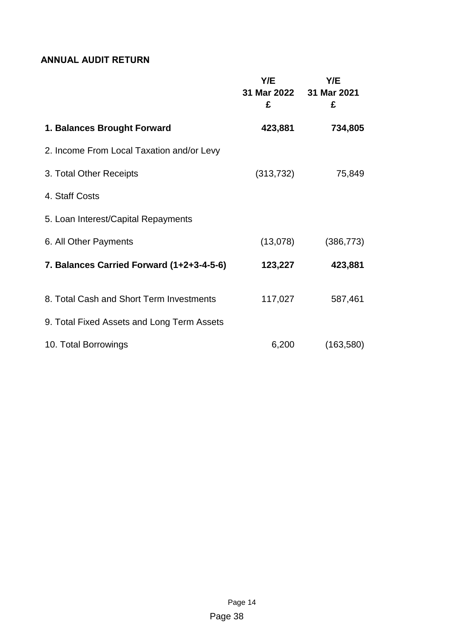## <span id="page-19-0"></span>**ANNUAL AUDIT RETURN**

|                                            | Y/E<br>31 Mar 2022 31 Mar 2021<br>£ | Y/E<br>£   |
|--------------------------------------------|-------------------------------------|------------|
| 1. Balances Brought Forward                | 423,881                             | 734,805    |
| 2. Income From Local Taxation and/or Levy  |                                     |            |
| 3. Total Other Receipts                    | (313, 732)                          | 75,849     |
| 4. Staff Costs                             |                                     |            |
| 5. Loan Interest/Capital Repayments        |                                     |            |
| 6. All Other Payments                      | (13,078)                            | (386, 773) |
| 7. Balances Carried Forward (1+2+3-4-5-6)  | 123,227                             | 423,881    |
| 8. Total Cash and Short Term Investments   | 117,027                             | 587,461    |
| 9. Total Fixed Assets and Long Term Assets |                                     |            |
| 10. Total Borrowings                       | 6,200                               | (163, 580) |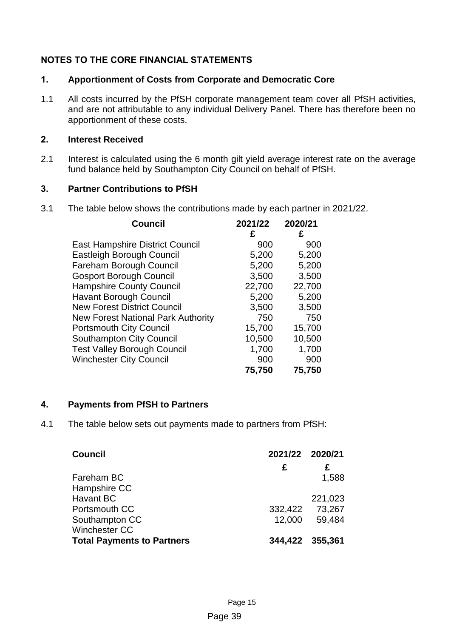## <span id="page-20-0"></span>**NOTES TO THE CORE FINANCIAL STATEMENTS**

## **1. Apportionment of Costs from Corporate and Democratic Core**

1.1 All costs incurred by the PfSH corporate management team cover all PfSH activities, and are not attributable to any individual Delivery Panel. There has therefore been no apportionment of these costs.

## **2. Interest Received**

2.1 Interest is calculated using the 6 month gilt yield average interest rate on the average fund balance held by Southampton City Council on behalf of PfSH.

## **3. Partner Contributions to PfSH**

3.1 The table below shows the contributions made by each partner in 2021/22.

| <b>Council</b>                            | 2021/22 | 2020/21 |
|-------------------------------------------|---------|---------|
|                                           | £       | £       |
| <b>East Hampshire District Council</b>    | 900     | 900     |
| <b>Eastleigh Borough Council</b>          | 5,200   | 5,200   |
| Fareham Borough Council                   | 5,200   | 5,200   |
| <b>Gosport Borough Council</b>            | 3,500   | 3,500   |
| <b>Hampshire County Council</b>           | 22,700  | 22,700  |
| <b>Havant Borough Council</b>             | 5,200   | 5,200   |
| <b>New Forest District Council</b>        | 3,500   | 3,500   |
| <b>New Forest National Park Authority</b> | 750     | 750     |
| <b>Portsmouth City Council</b>            | 15,700  | 15,700  |
| <b>Southampton City Council</b>           | 10,500  | 10,500  |
| <b>Test Valley Borough Council</b>        | 1,700   | 1,700   |
| <b>Winchester City Council</b>            | 900     | 900     |
|                                           | 75,750  | 75,750  |

## **4. Payments from PfSH to Partners**

4.1 The table below sets out payments made to partners from PfSH:

| <b>Council</b>                    | 2021/22 2020/21 |         |
|-----------------------------------|-----------------|---------|
|                                   | £               | £       |
| Fareham BC                        |                 | 1,588   |
| Hampshire CC                      |                 |         |
| Havant BC                         |                 | 221,023 |
| Portsmouth CC                     | 332,422         | 73,267  |
| Southampton CC                    | 12,000          | 59,484  |
| <b>Winchester CC</b>              |                 |         |
| <b>Total Payments to Partners</b> | 344,422 355,361 |         |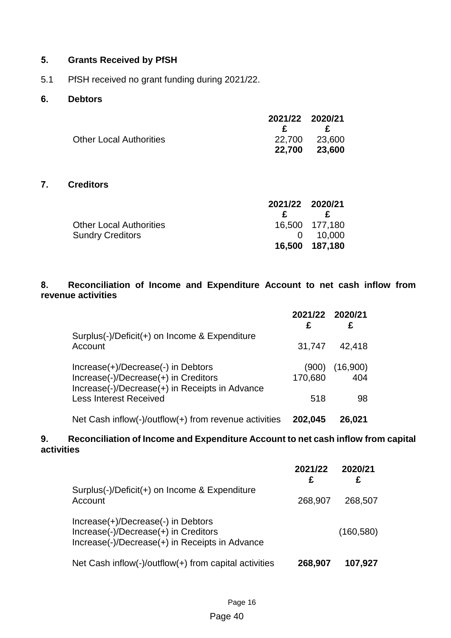## **5. Grants Received by PfSH**

5.1 PfSH received no grant funding during 2021/22.

## **6. Debtors**

|                                | 2021/22 2020/21 |               |
|--------------------------------|-----------------|---------------|
|                                |                 | $\mathbf{F}$  |
| <b>Other Local Authorities</b> |                 | 22,700 23,600 |
|                                |                 | 22,700 23,600 |

## **7. Creditors**

|                                | 2021/22 2020/21 |                  |
|--------------------------------|-----------------|------------------|
|                                | £.              | £                |
| <b>Other Local Authorities</b> |                 | 16,500 177,180   |
| <b>Sundry Creditors</b>        |                 | $0 \quad 10,000$ |
|                                |                 | 16,500 187,180   |

## **8. Reconciliation of Income and Expenditure Account to net cash inflow from revenue activities**

|                                                                                                                              | 2021/22 2020/21<br>£ | £               |
|------------------------------------------------------------------------------------------------------------------------------|----------------------|-----------------|
| Surplus(-)/Deficit(+) on Income & Expenditure<br>Account                                                                     | 31,747               | 42,418          |
| Increase(+)/Decrease(-) in Debtors<br>Increase(-)/Decrease(+) in Creditors<br>Increase(-)/Decrease(+) in Receipts in Advance | (900)<br>170,680     | (16,900)<br>404 |
| <b>Less Interest Received</b>                                                                                                | 518                  | 98              |
| Net Cash inflow(-)/outflow(+) from revenue activities                                                                        | 202,045              | 26,021          |

## **9. Reconciliation of Income and Expenditure Account to net cash inflow from capital activities**

|                                                                                                                              | 2021/22<br>£ | 2020/21<br>£ |
|------------------------------------------------------------------------------------------------------------------------------|--------------|--------------|
| Surplus(-)/Deficit(+) on Income & Expenditure<br>Account                                                                     | 268,907      | 268,507      |
| Increase(+)/Decrease(-) in Debtors<br>Increase(-)/Decrease(+) in Creditors<br>Increase(-)/Decrease(+) in Receipts in Advance |              | (160, 580)   |
| Net Cash inflow(-)/outflow(+) from capital activities                                                                        | 268,907      | 107,927      |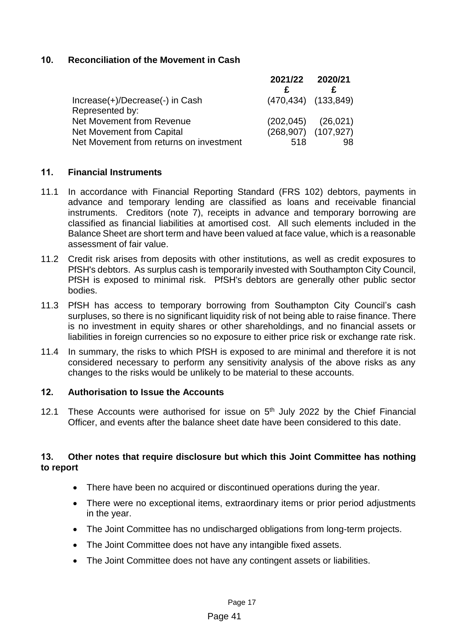## **10. Reconciliation of the Movement in Cash**

|                                         | 2021/22 2020/21 |                           |
|-----------------------------------------|-----------------|---------------------------|
|                                         |                 |                           |
| Increase(+)/Decrease(-) in Cash         |                 | $(470, 434)$ $(133, 849)$ |
| Represented by:                         |                 |                           |
| Net Movement from Revenue               |                 | $(202,045)$ $(26,021)$    |
| Net Movement from Capital               |                 | $(268,907)$ $(107,927)$   |
| Net Movement from returns on investment | 518             | 98                        |

## **11. Financial Instruments**

- 11.1 In accordance with Financial Reporting Standard (FRS 102) debtors, payments in advance and temporary lending are classified as loans and receivable financial instruments. Creditors (note 7), receipts in advance and temporary borrowing are classified as financial liabilities at amortised cost. All such elements included in the Balance Sheet are short term and have been valued at face value, which is a reasonable assessment of fair value.
- 11.2 Credit risk arises from deposits with other institutions, as well as credit exposures to PfSH's debtors. As surplus cash is temporarily invested with Southampton City Council, PfSH is exposed to minimal risk. PfSH's debtors are generally other public sector bodies.
- 11.3 PfSH has access to temporary borrowing from Southampton City Council's cash surpluses, so there is no significant liquidity risk of not being able to raise finance. There is no investment in equity shares or other shareholdings, and no financial assets or liabilities in foreign currencies so no exposure to either price risk or exchange rate risk.
- 11.4 In summary, the risks to which PfSH is exposed to are minimal and therefore it is not considered necessary to perform any sensitivity analysis of the above risks as any changes to the risks would be unlikely to be material to these accounts.

## **12. Authorisation to Issue the Accounts**

12.1 These Accounts were authorised for issue on  $5<sup>th</sup>$  July 2022 by the Chief Financial Officer, and events after the balance sheet date have been considered to this date.

## **13. Other notes that require disclosure but which this Joint Committee has nothing to report**

- There have been no acquired or discontinued operations during the year.
- There were no exceptional items, extraordinary items or prior period adjustments in the year.
- The Joint Committee has no undischarged obligations from long-term projects.
- The Joint Committee does not have any intangible fixed assets.
- The Joint Committee does not have any contingent assets or liabilities.

## Page 41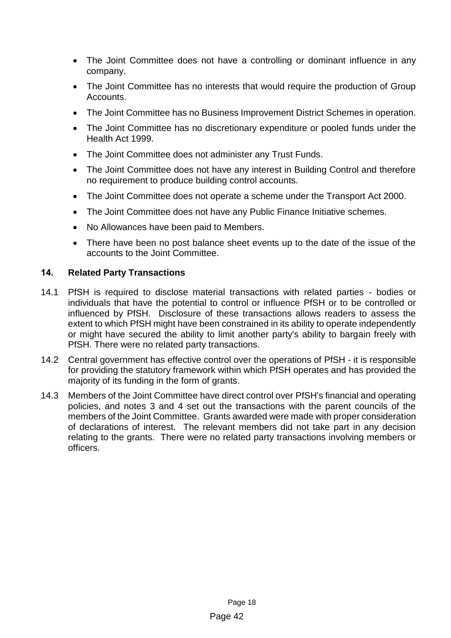- The Joint Committee does not have a controlling or dominant influence in any company.
- The Joint Committee has no interests that would require the production of Group Accounts.
- The Joint Committee has no Business Improvement District Schemes in operation.
- The Joint Committee has no discretionary expenditure or pooled funds under the Health Act 1999.
- The Joint Committee does not administer any Trust Funds.
- The Joint Committee does not have any interest in Building Control and therefore no requirement to produce building control accounts.
- The Joint Committee does not operate a scheme under the Transport Act 2000.
- The Joint Committee does not have any Public Finance Initiative schemes.
- No Allowances have been paid to Members.
- There have been no post balance sheet events up to the date of the issue of the accounts to the Joint Committee.

## **14. Related Party Transactions**

- 14.1 PfSH is required to disclose material transactions with related parties bodies or individuals that have the potential to control or influence PfSH or to be controlled or influenced by PfSH. Disclosure of these transactions allows readers to assess the extent to which PfSH might have been constrained in its ability to operate independently or might have secured the ability to limit another party's ability to bargain freely with PfSH. There were no related party transactions.
- 14.2 Central government has effective control over the operations of PfSH it is responsible for providing the statutory framework within which PfSH operates and has provided the majority of its funding in the form of grants.
- 14.3 Members of the Joint Committee have direct control over PfSH's financial and operating policies, and notes 3 and 4 set out the transactions with the parent councils of the members of the Joint Committee. Grants awarded were made with proper consideration of declarations of interest. The relevant members did not take part in any decision relating to the grants. There were no related party transactions involving members or officers.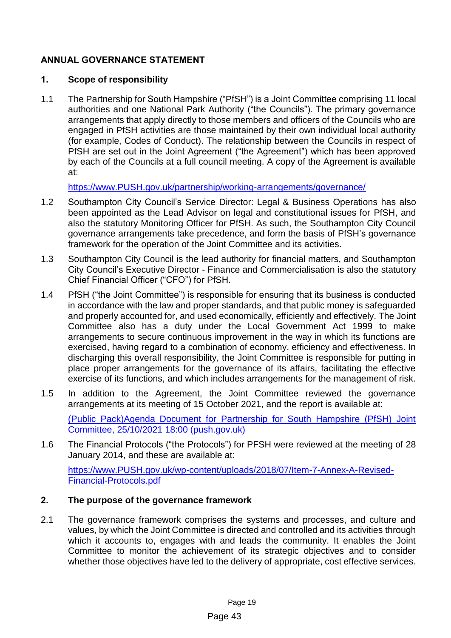## <span id="page-24-0"></span>**ANNUAL GOVERNANCE STATEMENT**

## **1. Scope of responsibility**

1.1 The Partnership for South Hampshire ("PfSH") is a Joint Committee comprising 11 local authorities and one National Park Authority ("the Councils"). The primary governance arrangements that apply directly to those members and officers of the Councils who are engaged in PfSH activities are those maintained by their own individual local authority (for example, Codes of Conduct). The relationship between the Councils in respect of PfSH are set out in the Joint Agreement ("the Agreement") which has been approved by each of the Councils at a full council meeting. A copy of the Agreement is available at:

[https://www.PUSH.gov.uk/partnership/working-arrangements/governance/](https://www.push.gov.uk/partnership/working-arrangements/governance/) 

- 1.2 Southampton City Council's Service Director: Legal & Business Operations has also been appointed as the Lead Advisor on legal and constitutional issues for PfSH, and also the statutory Monitoring Officer for PfSH. As such, the Southampton City Council governance arrangements take precedence, and form the basis of PfSH's governance framework for the operation of the Joint Committee and its activities.
- 1.3 Southampton City Council is the lead authority for financial matters, and Southampton City Council's Executive Director - Finance and Commercialisation is also the statutory Chief Financial Officer ("CFO") for PfSH.
- 1.4 PfSH ("the Joint Committee") is responsible for ensuring that its business is conducted in accordance with the law and proper standards, and that public money is safeguarded and properly accounted for, and used economically, efficiently and effectively. The Joint Committee also has a duty under the Local Government Act 1999 to make arrangements to secure continuous improvement in the way in which its functions are exercised, having regard to a combination of economy, efficiency and effectiveness. In discharging this overall responsibility, the Joint Committee is responsible for putting in place proper arrangements for the governance of its affairs, facilitating the effective exercise of its functions, and which includes arrangements for the management of risk.
- 1.5 In addition to the Agreement, the Joint Committee reviewed the governance arrangements at its meeting of 15 October 2021, and the report is available at:

[\(Public Pack\)Agenda Document for Partnership for South Hampshire \(PfSH\) Joint](https://www.push.gov.uk/wp-content/uploads/2021/10/Item-8-PfSH-Business-Plan-2021-2025-1.pdf)  [Committee, 25/10/2021 18:00 \(push.gov.uk\)](https://www.push.gov.uk/wp-content/uploads/2021/10/Item-8-PfSH-Business-Plan-2021-2025-1.pdf)

1.6 The Financial Protocols ("the Protocols") for PFSH were reviewed at the meeting of 28 January 2014, and these are available at:

[https://www.PUSH.gov.uk/wp-content/uploads/2018/07/Item-7-Annex-A-Revised-](https://www.push.gov.uk/wp-content/uploads/2018/07/Item-7-Annex-A-Revised-Financial-Protocols.pdf)[Financial-Protocols.pdf](https://www.push.gov.uk/wp-content/uploads/2018/07/Item-7-Annex-A-Revised-Financial-Protocols.pdf)

## **2. The purpose of the governance framework**

2.1 The governance framework comprises the systems and processes, and culture and values, by which the Joint Committee is directed and controlled and its activities through which it accounts to, engages with and leads the community. It enables the Joint Committee to monitor the achievement of its strategic objectives and to consider whether those objectives have led to the delivery of appropriate, cost effective services.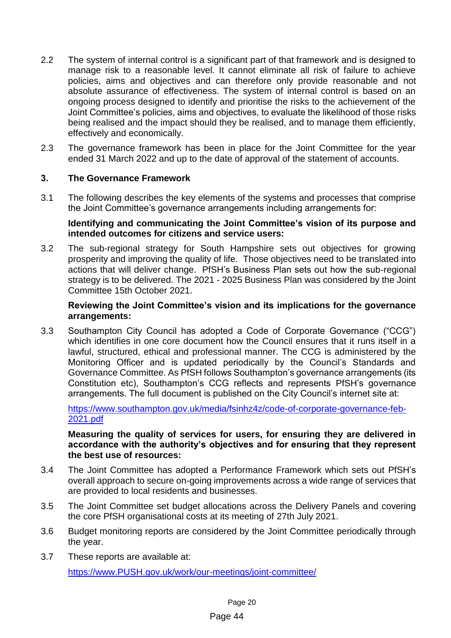- 2.2 The system of internal control is a significant part of that framework and is designed to manage risk to a reasonable level. It cannot eliminate all risk of failure to achieve policies, aims and objectives and can therefore only provide reasonable and not absolute assurance of effectiveness. The system of internal control is based on an ongoing process designed to identify and prioritise the risks to the achievement of the Joint Committee's policies, aims and objectives, to evaluate the likelihood of those risks being realised and the impact should they be realised, and to manage them efficiently, effectively and economically.
- 2.3 The governance framework has been in place for the Joint Committee for the year ended 31 March 2022 and up to the date of approval of the statement of accounts.

## **3. The Governance Framework**

3.1 The following describes the key elements of the systems and processes that comprise the Joint Committee's governance arrangements including arrangements for:

## **Identifying and communicating the Joint Committee's vision of its purpose and intended outcomes for citizens and service users:**

3.2 The sub-regional strategy for South Hampshire sets out objectives for growing prosperity and improving the quality of life. Those objectives need to be translated into actions that will deliver change. PfSH's Business Plan sets out how the sub-regional strategy is to be delivered. The 2021 - 2025 Business Plan was considered by the Joint Committee 15th October 2021.

## **Reviewing the Joint Committee's vision and its implications for the governance arrangements:**

3.3 Southampton City Council has adopted a Code of Corporate Governance ("CCG") which identifies in one core document how the Council ensures that it runs itself in a lawful, structured, ethical and professional manner. The CCG is administered by the Monitoring Officer and is updated periodically by the Council's Standards and Governance Committee. As PfSH follows Southampton's governance arrangements (its Constitution etc), Southampton's CCG reflects and represents PfSH's governance arrangements. The full document is published on the City Council's internet site at:

[https://www.southampton.gov.uk/media/fsinhz4z/code-of-corporate-governance-feb-](https://www.southampton.gov.uk/media/fsinhz4z/code-of-corporate-governance-feb-2021.pdf)[2021.pdf](https://www.southampton.gov.uk/media/fsinhz4z/code-of-corporate-governance-feb-2021.pdf)

#### **Measuring the quality of services for users, for ensuring they are delivered in accordance with the authority's objectives and for ensuring that they represent the best use of resources:**

- 3.4 The Joint Committee has adopted a Performance Framework which sets out PfSH's overall approach to secure on-going improvements across a wide range of services that are provided to local residents and businesses.
- 3.5 The Joint Committee set budget allocations across the Delivery Panels and covering the core PfSH organisational costs at its meeting of 27th July 2021.
- 3.6 Budget monitoring reports are considered by the Joint Committee periodically through the year.
- 3.7 These reports are available at: [https://www.PUSH.gov.uk/work/our-meetings/joint-committee/](https://www.push.gov.uk/work/our-meetings/joint-committee/)

## Page 44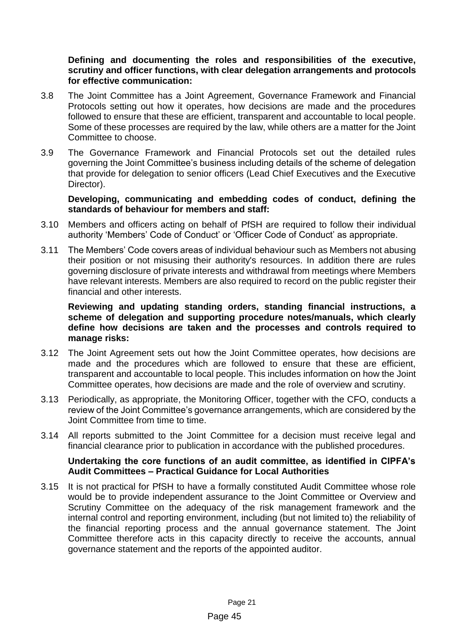**Defining and documenting the roles and responsibilities of the executive, scrutiny and officer functions, with clear delegation arrangements and protocols for effective communication:**

- 3.8 The Joint Committee has a Joint Agreement, Governance Framework and Financial Protocols setting out how it operates, how decisions are made and the procedures followed to ensure that these are efficient, transparent and accountable to local people. Some of these processes are required by the law, while others are a matter for the Joint Committee to choose.
- 3.9 The Governance Framework and Financial Protocols set out the detailed rules governing the Joint Committee's business including details of the scheme of delegation that provide for delegation to senior officers (Lead Chief Executives and the Executive Director).

## **Developing, communicating and embedding codes of conduct, defining the standards of behaviour for members and staff:**

- 3.10 Members and officers acting on behalf of PfSH are required to follow their individual authority 'Members' Code of Conduct' or 'Officer Code of Conduct' as appropriate.
- 3.11 The Members' Code covers areas of individual behaviour such as Members not abusing their position or not misusing their authority's resources. In addition there are rules governing disclosure of private interests and withdrawal from meetings where Members have relevant interests. Members are also required to record on the public register their financial and other interests.

## **Reviewing and updating standing orders, standing financial instructions, a scheme of delegation and supporting procedure notes/manuals, which clearly define how decisions are taken and the processes and controls required to manage risks:**

- 3.12 The Joint Agreement sets out how the Joint Committee operates, how decisions are made and the procedures which are followed to ensure that these are efficient, transparent and accountable to local people. This includes information on how the Joint Committee operates, how decisions are made and the role of overview and scrutiny.
- 3.13 Periodically, as appropriate, the Monitoring Officer, together with the CFO, conducts a review of the Joint Committee's governance arrangements, which are considered by the Joint Committee from time to time.
- 3.14 All reports submitted to the Joint Committee for a decision must receive legal and financial clearance prior to publication in accordance with the published procedures.

## **Undertaking the core functions of an audit committee, as identified in CIPFA's Audit Committees – Practical Guidance for Local Authorities**

3.15 It is not practical for PfSH to have a formally constituted Audit Committee whose role would be to provide independent assurance to the Joint Committee or Overview and Scrutiny Committee on the adequacy of the risk management framework and the internal control and reporting environment, including (but not limited to) the reliability of the financial reporting process and the annual governance statement. The Joint Committee therefore acts in this capacity directly to receive the accounts, annual governance statement and the reports of the appointed auditor.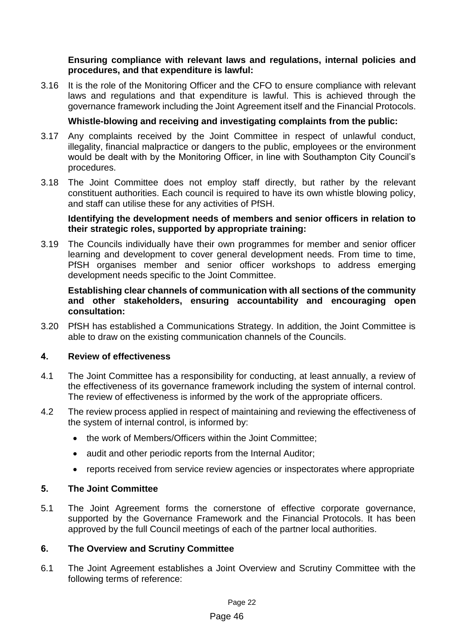## **Ensuring compliance with relevant laws and regulations, internal policies and procedures, and that expenditure is lawful:**

3.16 It is the role of the Monitoring Officer and the CFO to ensure compliance with relevant laws and regulations and that expenditure is lawful. This is achieved through the governance framework including the Joint Agreement itself and the Financial Protocols.

## **Whistle-blowing and receiving and investigating complaints from the public:**

- 3.17 Any complaints received by the Joint Committee in respect of unlawful conduct, illegality, financial malpractice or dangers to the public, employees or the environment would be dealt with by the Monitoring Officer, in line with Southampton City Council's procedures.
- 3.18 The Joint Committee does not employ staff directly, but rather by the relevant constituent authorities. Each council is required to have its own whistle blowing policy, and staff can utilise these for any activities of PfSH.

## **Identifying the development needs of members and senior officers in relation to their strategic roles, supported by appropriate training:**

3.19 The Councils individually have their own programmes for member and senior officer learning and development to cover general development needs. From time to time, PfSH organises member and senior officer workshops to address emerging development needs specific to the Joint Committee.

## **Establishing clear channels of communication with all sections of the community and other stakeholders, ensuring accountability and encouraging open consultation:**

3.20 PfSH has established a Communications Strategy. In addition, the Joint Committee is able to draw on the existing communication channels of the Councils.

## **4. Review of effectiveness**

- 4.1 The Joint Committee has a responsibility for conducting, at least annually, a review of the effectiveness of its governance framework including the system of internal control. The review of effectiveness is informed by the work of the appropriate officers.
- 4.2 The review process applied in respect of maintaining and reviewing the effectiveness of the system of internal control, is informed by:
	- the work of Members/Officers within the Joint Committee:
	- audit and other periodic reports from the Internal Auditor;
	- reports received from service review agencies or inspectorates where appropriate

## **5. The Joint Committee**

5.1 The Joint Agreement forms the cornerstone of effective corporate governance, supported by the Governance Framework and the Financial Protocols. It has been approved by the full Council meetings of each of the partner local authorities.

## **6. The Overview and Scrutiny Committee**

6.1 The Joint Agreement establishes a Joint Overview and Scrutiny Committee with the following terms of reference:

#### Page 46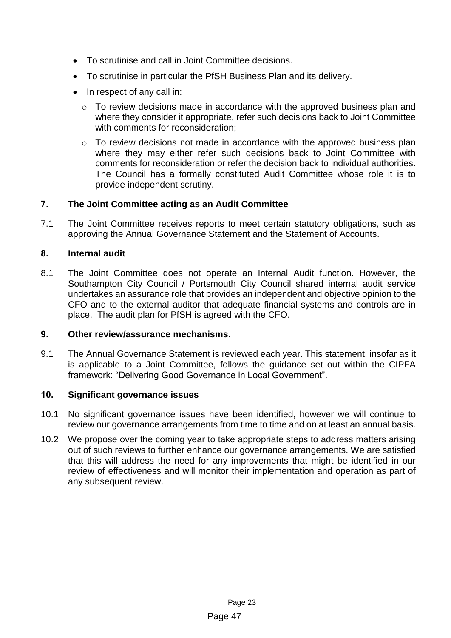- To scrutinise and call in Joint Committee decisions.
- To scrutinise in particular the PfSH Business Plan and its delivery.
- In respect of any call in:
	- o To review decisions made in accordance with the approved business plan and where they consider it appropriate, refer such decisions back to Joint Committee with comments for reconsideration;
	- o To review decisions not made in accordance with the approved business plan where they may either refer such decisions back to Joint Committee with comments for reconsideration or refer the decision back to individual authorities. The Council has a formally constituted Audit Committee whose role it is to provide independent scrutiny.

## **7. The Joint Committee acting as an Audit Committee**

7.1 The Joint Committee receives reports to meet certain statutory obligations, such as approving the Annual Governance Statement and the Statement of Accounts.

## **8. Internal audit**

8.1 The Joint Committee does not operate an Internal Audit function. However, the Southampton City Council / Portsmouth City Council shared internal audit service undertakes an assurance role that provides an independent and objective opinion to the CFO and to the external auditor that adequate financial systems and controls are in place. The audit plan for PfSH is agreed with the CFO.

## **9. Other review/assurance mechanisms.**

9.1 The Annual Governance Statement is reviewed each year. This statement, insofar as it is applicable to a Joint Committee, follows the guidance set out within the CIPFA framework: "Delivering Good Governance in Local Government".

## **10. Significant governance issues**

- 10.1 No significant governance issues have been identified, however we will continue to review our governance arrangements from time to time and on at least an annual basis.
- 10.2 We propose over the coming year to take appropriate steps to address matters arising out of such reviews to further enhance our governance arrangements. We are satisfied that this will address the need for any improvements that might be identified in our review of effectiveness and will monitor their implementation and operation as part of any subsequent review.